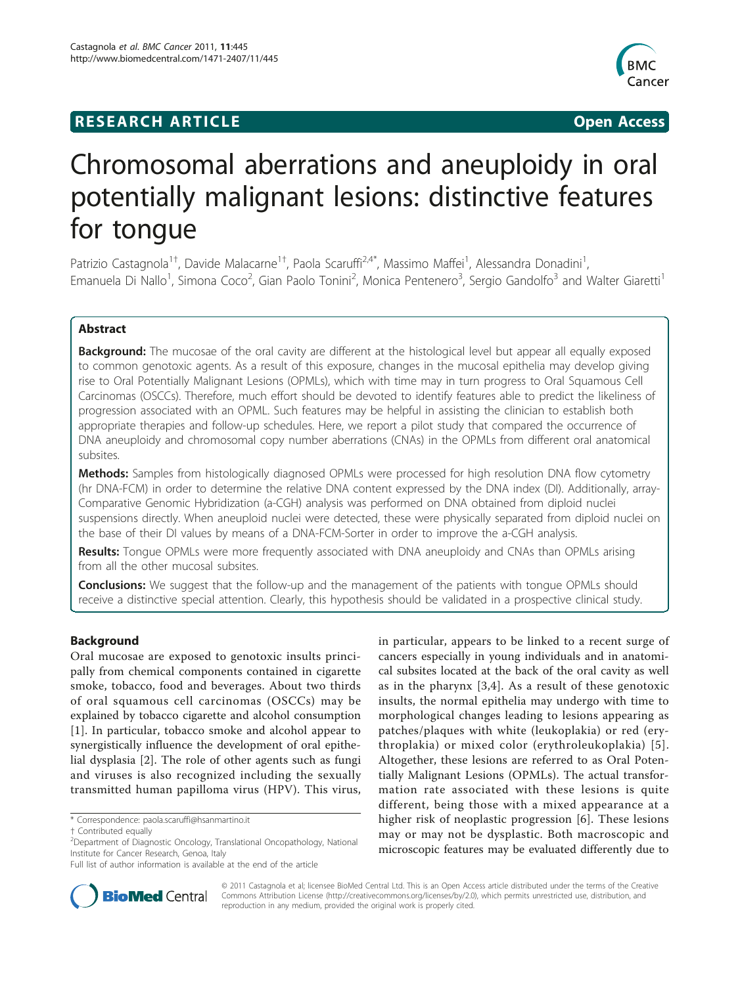## **RESEARCH ARTICLE Example 2018 12:00 Open Access**



# Chromosomal aberrations and aneuploidy in oral potentially malignant lesions: distinctive features for tongue

Patrizio Castagnola<sup>1†</sup>, Davide Malacarne<sup>1†</sup>, Paola Scaruffi<sup>2,4\*</sup>, Massimo Maffei<sup>1</sup>, Alessandra Donadini<sup>1</sup> , Emanuela Di Nallo<sup>1</sup>, Simona Coco<sup>2</sup>, Gian Paolo Tonini<sup>2</sup>, Monica Pentenero<sup>3</sup>, Sergio Gandolfo<sup>3</sup> and Walter Giaretti<sup>1</sup>

## Abstract

**Background:** The mucosae of the oral cavity are different at the histological level but appear all equally exposed to common genotoxic agents. As a result of this exposure, changes in the mucosal epithelia may develop giving rise to Oral Potentially Malignant Lesions (OPMLs), which with time may in turn progress to Oral Squamous Cell Carcinomas (OSCCs). Therefore, much effort should be devoted to identify features able to predict the likeliness of progression associated with an OPML. Such features may be helpful in assisting the clinician to establish both appropriate therapies and follow-up schedules. Here, we report a pilot study that compared the occurrence of DNA aneuploidy and chromosomal copy number aberrations (CNAs) in the OPMLs from different oral anatomical subsites.

Methods: Samples from histologically diagnosed OPMLs were processed for high resolution DNA flow cytometry (hr DNA-FCM) in order to determine the relative DNA content expressed by the DNA index (DI). Additionally, array-Comparative Genomic Hybridization (a-CGH) analysis was performed on DNA obtained from diploid nuclei suspensions directly. When aneuploid nuclei were detected, these were physically separated from diploid nuclei on the base of their DI values by means of a DNA-FCM-Sorter in order to improve the a-CGH analysis.

Results: Tongue OPMLs were more frequently associated with DNA aneuploidy and CNAs than OPMLs arising from all the other mucosal subsites.

**Conclusions:** We suggest that the follow-up and the management of the patients with tongue OPMLs should receive a distinctive special attention. Clearly, this hypothesis should be validated in a prospective clinical study.

## Background

Oral mucosae are exposed to genotoxic insults principally from chemical components contained in cigarette smoke, tobacco, food and beverages. About two thirds of oral squamous cell carcinomas (OSCCs) may be explained by tobacco cigarette and alcohol consumption [[1\]](#page-6-0). In particular, tobacco smoke and alcohol appear to synergistically influence the development of oral epithelial dysplasia [[2\]](#page-6-0). The role of other agents such as fungi and viruses is also recognized including the sexually transmitted human papilloma virus (HPV). This virus,

in particular, appears to be linked to a recent surge of cancers especially in young individuals and in anatomical subsites located at the back of the oral cavity as well as in the pharynx [\[3](#page-6-0),[4](#page-6-0)]. As a result of these genotoxic insults, the normal epithelia may undergo with time to morphological changes leading to lesions appearing as patches/plaques with white (leukoplakia) or red (erythroplakia) or mixed color (erythroleukoplakia) [\[5\]](#page-6-0). Altogether, these lesions are referred to as Oral Potentially Malignant Lesions (OPMLs). The actual transformation rate associated with these lesions is quite different, being those with a mixed appearance at a higher risk of neoplastic progression [\[6](#page-6-0)]. These lesions may or may not be dysplastic. Both macroscopic and microscopic features may be evaluated differently due to



© 2011 Castagnola et al; licensee BioMed Central Ltd. This is an Open Access article distributed under the terms of the Creative Commons Attribution License [\(http://creativecommons.org/licenses/by/2.0](http://creativecommons.org/licenses/by/2.0)), which permits unrestricted use, distribution, and reproduction in any medium, provided the original work is properly cited.

<sup>\*</sup> Correspondence: [paola.scaruffi@hsanmartino.it](mailto:paola.scaruffi@hsanmartino.it)

<sup>†</sup> Contributed equally <sup>2</sup>

<sup>&</sup>lt;sup>2</sup>Department of Diagnostic Oncology, Translational Oncopathology, National Institute for Cancer Research, Genoa, Italy

Full list of author information is available at the end of the article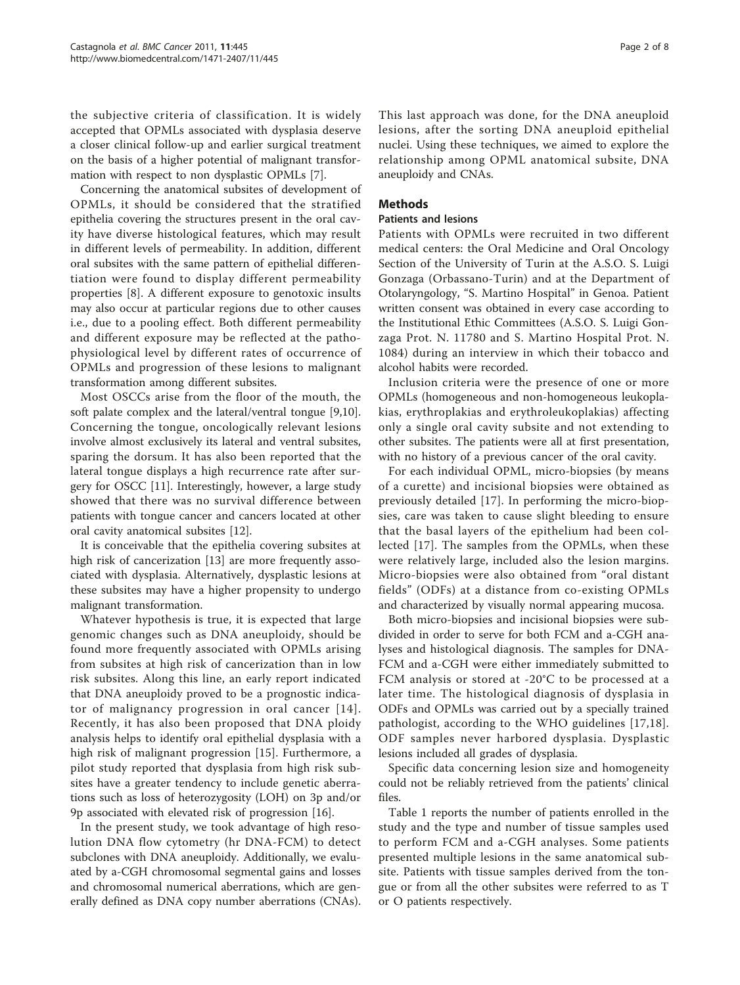the subjective criteria of classification. It is widely accepted that OPMLs associated with dysplasia deserve a closer clinical follow-up and earlier surgical treatment on the basis of a higher potential of malignant transformation with respect to non dysplastic OPMLs [[7\]](#page-6-0).

Concerning the anatomical subsites of development of OPMLs, it should be considered that the stratified epithelia covering the structures present in the oral cavity have diverse histological features, which may result in different levels of permeability. In addition, different oral subsites with the same pattern of epithelial differentiation were found to display different permeability properties [\[8](#page-6-0)]. A different exposure to genotoxic insults may also occur at particular regions due to other causes i.e., due to a pooling effect. Both different permeability and different exposure may be reflected at the pathophysiological level by different rates of occurrence of OPMLs and progression of these lesions to malignant transformation among different subsites.

Most OSCCs arise from the floor of the mouth, the soft palate complex and the lateral/ventral tongue [\[9,10](#page-7-0)]. Concerning the tongue, oncologically relevant lesions involve almost exclusively its lateral and ventral subsites, sparing the dorsum. It has also been reported that the lateral tongue displays a high recurrence rate after surgery for OSCC [\[11\]](#page-7-0). Interestingly, however, a large study showed that there was no survival difference between patients with tongue cancer and cancers located at other oral cavity anatomical subsites [[12\]](#page-7-0).

It is conceivable that the epithelia covering subsites at high risk of cancerization [\[13](#page-7-0)] are more frequently associated with dysplasia. Alternatively, dysplastic lesions at these subsites may have a higher propensity to undergo malignant transformation.

Whatever hypothesis is true, it is expected that large genomic changes such as DNA aneuploidy, should be found more frequently associated with OPMLs arising from subsites at high risk of cancerization than in low risk subsites. Along this line, an early report indicated that DNA aneuploidy proved to be a prognostic indicator of malignancy progression in oral cancer [[14\]](#page-7-0). Recently, it has also been proposed that DNA ploidy analysis helps to identify oral epithelial dysplasia with a high risk of malignant progression [[15\]](#page-7-0). Furthermore, a pilot study reported that dysplasia from high risk subsites have a greater tendency to include genetic aberrations such as loss of heterozygosity (LOH) on 3p and/or 9p associated with elevated risk of progression [\[16](#page-7-0)].

In the present study, we took advantage of high resolution DNA flow cytometry (hr DNA-FCM) to detect subclones with DNA aneuploidy. Additionally, we evaluated by a-CGH chromosomal segmental gains and losses and chromosomal numerical aberrations, which are generally defined as DNA copy number aberrations (CNAs). This last approach was done, for the DNA aneuploid lesions, after the sorting DNA aneuploid epithelial nuclei. Using these techniques, we aimed to explore the relationship among OPML anatomical subsite, DNA aneuploidy and CNAs.

## Methods

#### Patients and lesions

Patients with OPMLs were recruited in two different medical centers: the Oral Medicine and Oral Oncology Section of the University of Turin at the A.S.O. S. Luigi Gonzaga (Orbassano-Turin) and at the Department of Otolaryngology, "S. Martino Hospital" in Genoa. Patient written consent was obtained in every case according to the Institutional Ethic Committees (A.S.O. S. Luigi Gonzaga Prot. N. 11780 and S. Martino Hospital Prot. N. 1084) during an interview in which their tobacco and alcohol habits were recorded.

Inclusion criteria were the presence of one or more OPMLs (homogeneous and non-homogeneous leukoplakias, erythroplakias and erythroleukoplakias) affecting only a single oral cavity subsite and not extending to other subsites. The patients were all at first presentation, with no history of a previous cancer of the oral cavity.

For each individual OPML, micro-biopsies (by means of a curette) and incisional biopsies were obtained as previously detailed [\[17](#page-7-0)]. In performing the micro-biopsies, care was taken to cause slight bleeding to ensure that the basal layers of the epithelium had been collected [\[17\]](#page-7-0). The samples from the OPMLs, when these were relatively large, included also the lesion margins. Micro-biopsies were also obtained from "oral distant fields" (ODFs) at a distance from co-existing OPMLs and characterized by visually normal appearing mucosa.

Both micro-biopsies and incisional biopsies were subdivided in order to serve for both FCM and a-CGH analyses and histological diagnosis. The samples for DNA-FCM and a-CGH were either immediately submitted to FCM analysis or stored at -20°C to be processed at a later time. The histological diagnosis of dysplasia in ODFs and OPMLs was carried out by a specially trained pathologist, according to the WHO guidelines [\[17,18](#page-7-0)]. ODF samples never harbored dysplasia. Dysplastic lesions included all grades of dysplasia.

Specific data concerning lesion size and homogeneity could not be reliably retrieved from the patients' clinical files.

Table [1](#page-2-0) reports the number of patients enrolled in the study and the type and number of tissue samples used to perform FCM and a-CGH analyses. Some patients presented multiple lesions in the same anatomical subsite. Patients with tissue samples derived from the tongue or from all the other subsites were referred to as T or O patients respectively.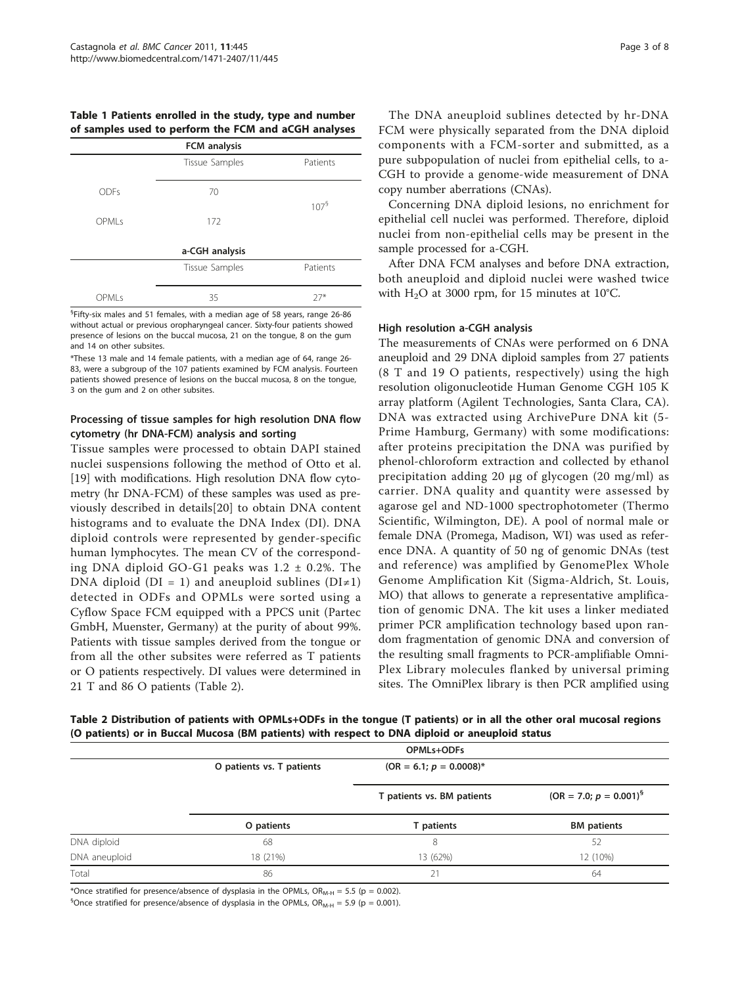<span id="page-2-0"></span>Table 1 Patients enrolled in the study, type and number of samples used to perform the FCM and aCGH analyses

| FCM analysis   |                |                     |  |  |  |  |
|----------------|----------------|---------------------|--|--|--|--|
|                | Tissue Samples | Patients            |  |  |  |  |
| <b>ODFs</b>    | 70             | $107^{\frac{5}{2}}$ |  |  |  |  |
| OPMLs          | 172            |                     |  |  |  |  |
| a-CGH analysis |                |                     |  |  |  |  |
|                | Tissue Samples | Patients            |  |  |  |  |
| OPMLs          | 35             | $27*$               |  |  |  |  |

 ${}^{5}$ Fifty-six males and 51 females, with a median age of 58 years, range 26-86 without actual or previous oropharyngeal cancer. Sixty-four patients showed presence of lesions on the buccal mucosa, 21 on the tongue, 8 on the gum and 14 on other subsites.

\*These 13 male and 14 female patients, with a median age of 64, range 26- 83, were a subgroup of the 107 patients examined by FCM analysis. Fourteen patients showed presence of lesions on the buccal mucosa, 8 on the tongue, 3 on the gum and 2 on other subsites.

## Processing of tissue samples for high resolution DNA flow cytometry (hr DNA-FCM) analysis and sorting

Tissue samples were processed to obtain DAPI stained nuclei suspensions following the method of Otto et al. [[19\]](#page-7-0) with modifications. High resolution DNA flow cytometry (hr DNA-FCM) of these samples was used as previously described in details[[20\]](#page-7-0) to obtain DNA content histograms and to evaluate the DNA Index (DI). DNA diploid controls were represented by gender-specific human lymphocytes. The mean CV of the corresponding DNA diploid GO-G1 peaks was  $1.2 \pm 0.2$ %. The DNA diploid (DI = 1) and aneuploid sublines (DI≠1) detected in ODFs and OPMLs were sorted using a Cyflow Space FCM equipped with a PPCS unit (Partec GmbH, Muenster, Germany) at the purity of about 99%. Patients with tissue samples derived from the tongue or from all the other subsites were referred as T patients or O patients respectively. DI values were determined in 21 T and 86 O patients (Table 2).

The DNA aneuploid sublines detected by hr-DNA FCM were physically separated from the DNA diploid components with a FCM-sorter and submitted, as a pure subpopulation of nuclei from epithelial cells, to a-CGH to provide a genome-wide measurement of DNA copy number aberrations (CNAs).

Concerning DNA diploid lesions, no enrichment for epithelial cell nuclei was performed. Therefore, diploid nuclei from non-epithelial cells may be present in the sample processed for a-CGH.

After DNA FCM analyses and before DNA extraction, both aneuploid and diploid nuclei were washed twice with  $H_2O$  at 3000 rpm, for 15 minutes at 10°C.

#### High resolution a-CGH analysis

The measurements of CNAs were performed on 6 DNA aneuploid and 29 DNA diploid samples from 27 patients (8 T and 19 O patients, respectively) using the high resolution oligonucleotide Human Genome CGH 105 K array platform (Agilent Technologies, Santa Clara, CA). DNA was extracted using ArchivePure DNA kit (5- Prime Hamburg, Germany) with some modifications: after proteins precipitation the DNA was purified by phenol-chloroform extraction and collected by ethanol precipitation adding 20 μg of glycogen (20 mg/ml) as carrier. DNA quality and quantity were assessed by agarose gel and ND-1000 spectrophotometer (Thermo Scientific, Wilmington, DE). A pool of normal male or female DNA (Promega, Madison, WI) was used as reference DNA. A quantity of 50 ng of genomic DNAs (test and reference) was amplified by GenomePlex Whole Genome Amplification Kit (Sigma-Aldrich, St. Louis, MO) that allows to generate a representative amplification of genomic DNA. The kit uses a linker mediated primer PCR amplification technology based upon random fragmentation of genomic DNA and conversion of the resulting small fragments to PCR-amplifiable Omni-Plex Library molecules flanked by universal priming sites. The OmniPlex library is then PCR amplified using

Table 2 Distribution of patients with OPMLs+ODFs in the tongue (T patients) or in all the other oral mucosal regions (O patients) or in Buccal Mucosa (BM patients) with respect to DNA diploid or aneuploid status

|               | OPMLs+ODFs                |                            |                             |  |
|---------------|---------------------------|----------------------------|-----------------------------|--|
|               | O patients vs. T patients | $(OR = 6.1; p = 0.0008)^*$ |                             |  |
|               |                           | T patients vs. BM patients | $(OR = 7.0; p = 0.001)^{5}$ |  |
|               | O patients                | T patients                 | <b>BM</b> patients          |  |
| DNA diploid   | 68                        | 8                          | 52                          |  |
| DNA aneuploid | 18 (21%)                  | 13 (62%)                   | 12 (10%)                    |  |
| Total         | 86                        | 21                         | 64                          |  |

\*Once stratified for presence/absence of dysplasia in the OPMLs,  $OR_{M-H} = 5.5$  (p = 0.002).

 ${}^{5}$ Once stratified for presence/absence of dysplasia in the OPMLs, OR<sub>M-H</sub> = 5.9 (p = 0.001).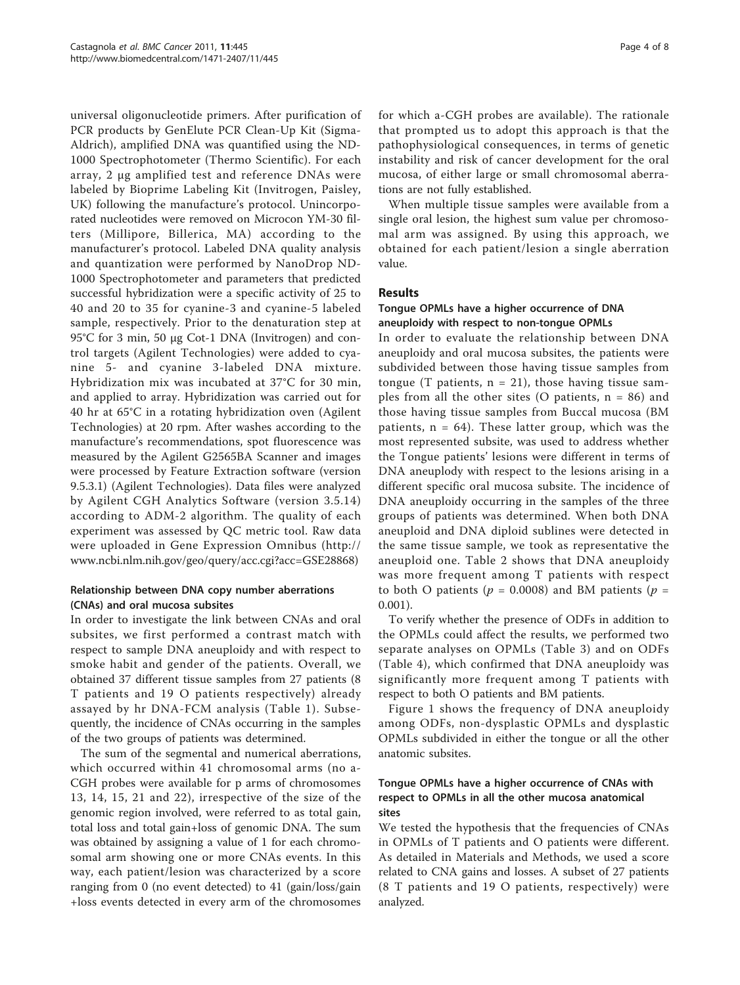universal oligonucleotide primers. After purification of PCR products by GenElute PCR Clean-Up Kit (Sigma-Aldrich), amplified DNA was quantified using the ND-1000 Spectrophotometer (Thermo Scientific). For each array, 2 μg amplified test and reference DNAs were labeled by Bioprime Labeling Kit (Invitrogen, Paisley, UK) following the manufacture's protocol. Unincorporated nucleotides were removed on Microcon YM-30 filters (Millipore, Billerica, MA) according to the manufacturer's protocol. Labeled DNA quality analysis and quantization were performed by NanoDrop ND-1000 Spectrophotometer and parameters that predicted successful hybridization were a specific activity of 25 to 40 and 20 to 35 for cyanine-3 and cyanine-5 labeled sample, respectively. Prior to the denaturation step at 95°C for 3 min, 50 μg Cot-1 DNA (Invitrogen) and control targets (Agilent Technologies) were added to cyanine 5- and cyanine 3-labeled DNA mixture. Hybridization mix was incubated at 37°C for 30 min, and applied to array. Hybridization was carried out for 40 hr at 65°C in a rotating hybridization oven (Agilent Technologies) at 20 rpm. After washes according to the manufacture's recommendations, spot fluorescence was measured by the Agilent G2565BA Scanner and images were processed by Feature Extraction software (version 9.5.3.1) (Agilent Technologies). Data files were analyzed by Agilent CGH Analytics Software (version 3.5.14) according to ADM-2 algorithm. The quality of each experiment was assessed by QC metric tool. Raw data were uploaded in Gene Expression Omnibus ([http://](http://www.ncbi.nlm.nih.gov/geo/query/acc.cgi?acc=GSE28868) [www.ncbi.nlm.nih.gov/geo/query/acc.cgi?acc=GSE28868\)](http://www.ncbi.nlm.nih.gov/geo/query/acc.cgi?acc=GSE28868)

## Relationship between DNA copy number aberrations (CNAs) and oral mucosa subsites

In order to investigate the link between CNAs and oral subsites, we first performed a contrast match with respect to sample DNA aneuploidy and with respect to smoke habit and gender of the patients. Overall, we obtained 37 different tissue samples from 27 patients (8 T patients and 19 O patients respectively) already assayed by hr DNA-FCM analysis (Table [1](#page-2-0)). Subsequently, the incidence of CNAs occurring in the samples of the two groups of patients was determined.

The sum of the segmental and numerical aberrations, which occurred within 41 chromosomal arms (no a-CGH probes were available for p arms of chromosomes 13, 14, 15, 21 and 22), irrespective of the size of the genomic region involved, were referred to as total gain, total loss and total gain+loss of genomic DNA. The sum was obtained by assigning a value of 1 for each chromosomal arm showing one or more CNAs events. In this way, each patient/lesion was characterized by a score ranging from 0 (no event detected) to 41 (gain/loss/gain +loss events detected in every arm of the chromosomes for which a-CGH probes are available). The rationale that prompted us to adopt this approach is that the pathophysiological consequences, in terms of genetic instability and risk of cancer development for the oral mucosa, of either large or small chromosomal aberrations are not fully established.

When multiple tissue samples were available from a single oral lesion, the highest sum value per chromosomal arm was assigned. By using this approach, we obtained for each patient/lesion a single aberration value.

## Results

#### Tongue OPMLs have a higher occurrence of DNA aneuploidy with respect to non-tongue OPMLs

In order to evaluate the relationship between DNA aneuploidy and oral mucosa subsites, the patients were subdivided between those having tissue samples from tongue (T patients,  $n = 21$ ), those having tissue samples from all the other sites (O patients,  $n = 86$ ) and those having tissue samples from Buccal mucosa (BM patients,  $n = 64$ ). These latter group, which was the most represented subsite, was used to address whether the Tongue patients' lesions were different in terms of DNA aneuplody with respect to the lesions arising in a different specific oral mucosa subsite. The incidence of DNA aneuploidy occurring in the samples of the three groups of patients was determined. When both DNA aneuploid and DNA diploid sublines were detected in the same tissue sample, we took as representative the aneuploid one. Table [2](#page-2-0) shows that DNA aneuploidy was more frequent among T patients with respect to both O patients ( $p = 0.0008$ ) and BM patients ( $p =$ 0.001).

To verify whether the presence of ODFs in addition to the OPMLs could affect the results, we performed two separate analyses on OPMLs (Table [3](#page-4-0)) and on ODFs (Table [4\)](#page-4-0), which confirmed that DNA aneuploidy was significantly more frequent among T patients with respect to both O patients and BM patients.

Figure [1](#page-5-0) shows the frequency of DNA aneuploidy among ODFs, non-dysplastic OPMLs and dysplastic OPMLs subdivided in either the tongue or all the other anatomic subsites.

## Tongue OPMLs have a higher occurrence of CNAs with respect to OPMLs in all the other mucosa anatomical sites

We tested the hypothesis that the frequencies of CNAs in OPMLs of T patients and O patients were different. As detailed in Materials and Methods, we used a score related to CNA gains and losses. A subset of 27 patients (8 T patients and 19 O patients, respectively) were analyzed.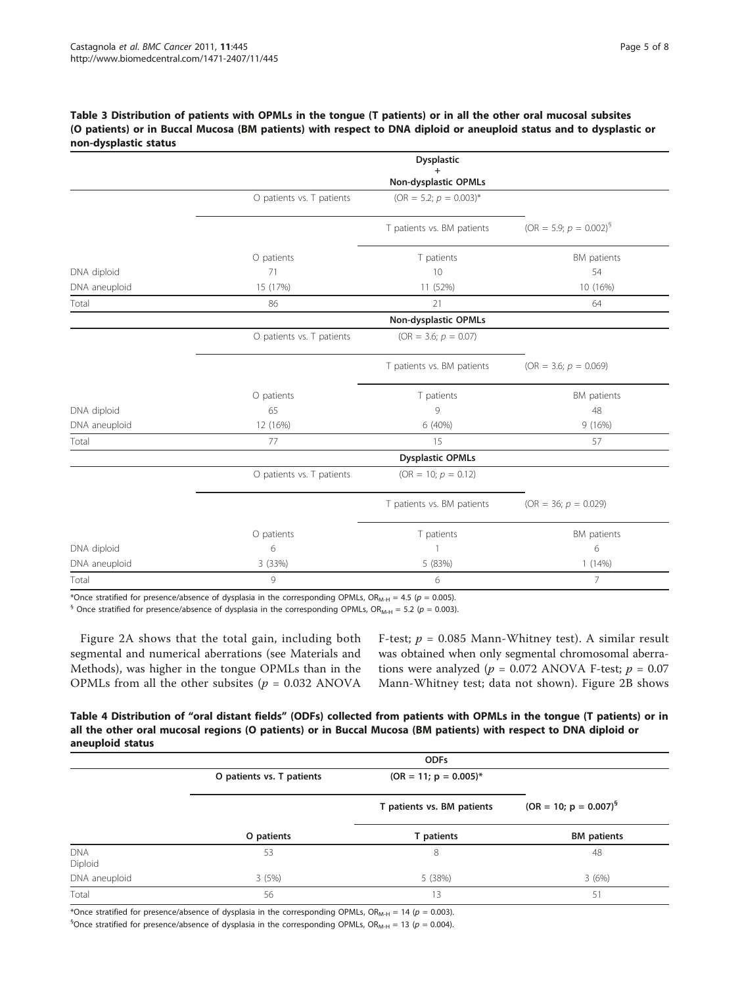#### <span id="page-4-0"></span>Table 3 Distribution of patients with OPMLs in the tongue (T patients) or in all the other oral mucosal subsites (O patients) or in Buccal Mucosa (BM patients) with respect to DNA diploid or aneuploid status and to dysplastic or non-dysplastic status

|               |                           | <b>Dysplastic</b>          |                                       |
|---------------|---------------------------|----------------------------|---------------------------------------|
|               |                           | Non-dysplastic OPMLs       |                                       |
|               | O patients vs. T patients | $(OR = 5.2; p = 0.003)^*$  |                                       |
|               |                           | T patients vs. BM patients | (OR = 5.9; $p = 0.002$ ) <sup>§</sup> |
|               | O patients                | T patients                 | BM patients                           |
| DNA diploid   | 71                        | 10                         | 54                                    |
| DNA aneuploid | 15 (17%)                  | 11 (52%)                   | 10 (16%)                              |
| Total         | 86                        | 21                         | 64                                    |
|               |                           | Non-dysplastic OPMLs       |                                       |
|               | O patients vs. T patients | $(OR = 3.6; p = 0.07)$     |                                       |
|               |                           | T patients vs. BM patients | $(OR = 3.6; p = 0.069)$               |
|               | O patients                | T patients                 | BM patients                           |
| DNA diploid   | 65                        | 9                          | 48                                    |
| DNA aneuploid | 12 (16%)                  | 6 (40%)                    | 9(16%)                                |
| Total         | 77                        | 15                         | 57                                    |
|               |                           | <b>Dysplastic OPMLs</b>    |                                       |
|               | O patients vs. T patients | (OR = 10; $p = 0.12$ )     |                                       |
|               |                           | T patients vs. BM patients | $(OR = 36; p = 0.029)$                |
|               | O patients                | T patients                 | BM patients                           |
| DNA diploid   | 6                         | $\mathbf{1}$               | 6                                     |
| DNA aneuploid | 3 (33%)                   | 5 (83%)                    | 1(14%)                                |
| Total         | 9                         | 6                          | 7                                     |

\*Once stratified for presence/absence of dysplasia in the corresponding OPMLs,  $OR_{M-H} = 4.5$  ( $p = 0.005$ ).

<sup>§</sup> Once stratified for presence/absence of dysplasia in the corresponding OPMLs, OR<sub>M-H</sub> = 5.2 (p = 0.003).

Figure [2A](#page-5-0) shows that the total gain, including both segmental and numerical aberrations (see Materials and Methods), was higher in the tongue OPMLs than in the OPMLs from all the other subsites ( $p = 0.032$  ANOVA

F-test;  $p = 0.085$  Mann-Whitney test). A similar result was obtained when only segmental chromosomal aberrations were analyzed ( $p = 0.072$  ANOVA F-test;  $p = 0.07$ Mann-Whitney test; data not shown). Figure [2B](#page-5-0) shows

Table 4 Distribution of "oral distant fields" (ODFs) collected from patients with OPMLs in the tongue (T patients) or in all the other oral mucosal regions (O patients) or in Buccal Mucosa (BM patients) with respect to DNA diploid or aneuploid status

|                       | <b>ODFs</b>               |                            |                            |  |
|-----------------------|---------------------------|----------------------------|----------------------------|--|
|                       | O patients vs. T patients | $(OR = 11; p = 0.005)^*$   |                            |  |
|                       |                           | T patients vs. BM patients | $(OR = 10; p = 0.007)^{5}$ |  |
|                       | O patients                | T patients                 | <b>BM</b> patients         |  |
| <b>DNA</b><br>Diploid | 53                        | 8                          | 48                         |  |
| DNA aneuploid         | 3(5%)                     | 5 (38%)                    | 3(6%)                      |  |
| Total                 | 56                        | 13                         | 51                         |  |

\*Once stratified for presence/absence of dysplasia in the corresponding OPMLs, OR<sub>M-H</sub> = 14 ( $p = 0.003$ ).

 ${}^{5}$ Once stratified for presence/absence of dysplasia in the corresponding OPMLs, OR<sub>M-H</sub> = 13 ( $p = 0.004$ ).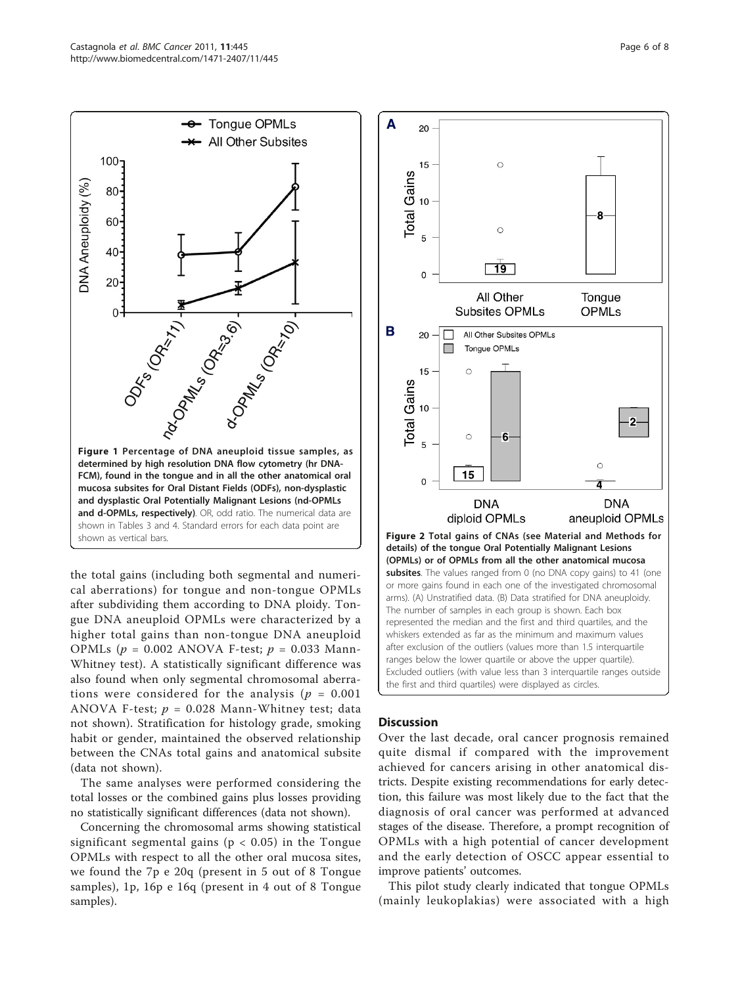<span id="page-5-0"></span>

the total gains (including both segmental and numerical aberrations) for tongue and non-tongue OPMLs after subdividing them according to DNA ploidy. Tongue DNA aneuploid OPMLs were characterized by a higher total gains than non-tongue DNA aneuploid OPMLs ( $p = 0.002$  ANOVA F-test;  $p = 0.033$  Mann-Whitney test). A statistically significant difference was also found when only segmental chromosomal aberrations were considered for the analysis ( $p = 0.001$ ) ANOVA F-test;  $p = 0.028$  Mann-Whitney test; data not shown). Stratification for histology grade, smoking habit or gender, maintained the observed relationship between the CNAs total gains and anatomical subsite (data not shown).

The same analyses were performed considering the total losses or the combined gains plus losses providing no statistically significant differences (data not shown).

Concerning the chromosomal arms showing statistical significant segmental gains ( $p < 0.05$ ) in the Tongue OPMLs with respect to all the other oral mucosa sites, we found the 7p e 20q (present in 5 out of 8 Tongue samples), 1p, 16p e 16q (present in 4 out of 8 Tongue samples).



## **Discussion**

Over the last decade, oral cancer prognosis remained quite dismal if compared with the improvement achieved for cancers arising in other anatomical districts. Despite existing recommendations for early detection, this failure was most likely due to the fact that the diagnosis of oral cancer was performed at advanced stages of the disease. Therefore, a prompt recognition of OPMLs with a high potential of cancer development and the early detection of OSCC appear essential to improve patients' outcomes.

This pilot study clearly indicated that tongue OPMLs (mainly leukoplakias) were associated with a high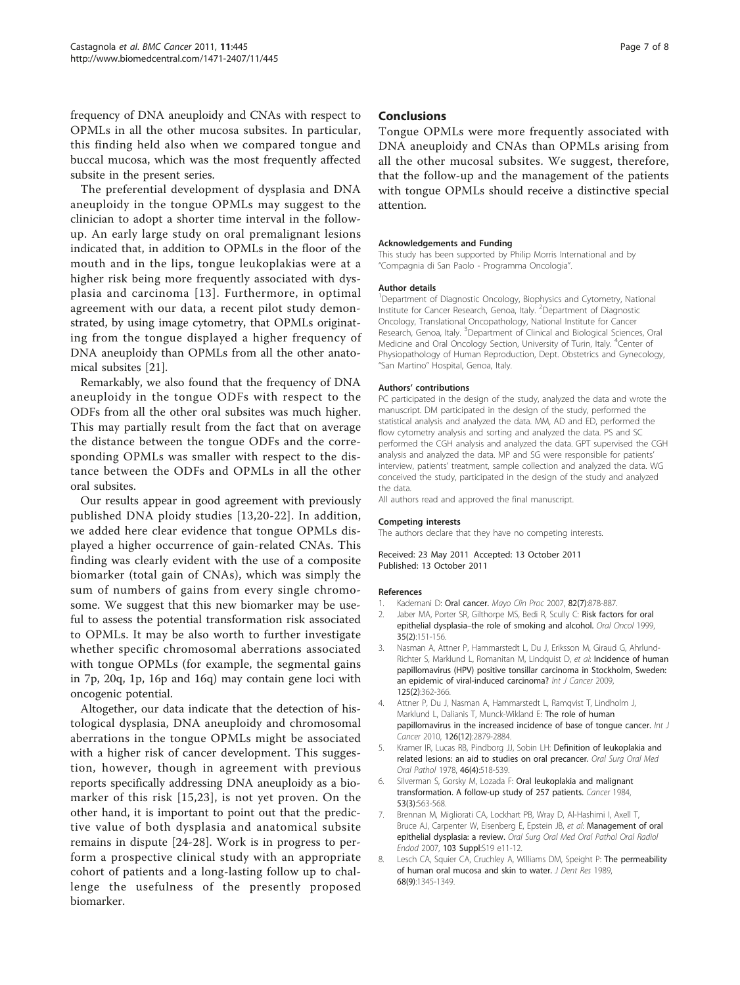<span id="page-6-0"></span>frequency of DNA aneuploidy and CNAs with respect to OPMLs in all the other mucosa subsites. In particular, this finding held also when we compared tongue and buccal mucosa, which was the most frequently affected subsite in the present series.

The preferential development of dysplasia and DNA aneuploidy in the tongue OPMLs may suggest to the clinician to adopt a shorter time interval in the followup. An early large study on oral premalignant lesions indicated that, in addition to OPMLs in the floor of the mouth and in the lips, tongue leukoplakias were at a higher risk being more frequently associated with dysplasia and carcinoma [[13\]](#page-7-0). Furthermore, in optimal agreement with our data, a recent pilot study demonstrated, by using image cytometry, that OPMLs originating from the tongue displayed a higher frequency of DNA aneuploidy than OPMLs from all the other anatomical subsites [\[21\]](#page-7-0).

Remarkably, we also found that the frequency of DNA aneuploidy in the tongue ODFs with respect to the ODFs from all the other oral subsites was much higher. This may partially result from the fact that on average the distance between the tongue ODFs and the corresponding OPMLs was smaller with respect to the distance between the ODFs and OPMLs in all the other oral subsites.

Our results appear in good agreement with previously published DNA ploidy studies [[13](#page-7-0),[20-22](#page-7-0)]. In addition, we added here clear evidence that tongue OPMLs displayed a higher occurrence of gain-related CNAs. This finding was clearly evident with the use of a composite biomarker (total gain of CNAs), which was simply the sum of numbers of gains from every single chromosome. We suggest that this new biomarker may be useful to assess the potential transformation risk associated to OPMLs. It may be also worth to further investigate whether specific chromosomal aberrations associated with tongue OPMLs (for example, the segmental gains in 7p, 20q, 1p, 16p and 16q) may contain gene loci with oncogenic potential.

Altogether, our data indicate that the detection of histological dysplasia, DNA aneuploidy and chromosomal aberrations in the tongue OPMLs might be associated with a higher risk of cancer development. This suggestion, however, though in agreement with previous reports specifically addressing DNA aneuploidy as a biomarker of this risk [[15](#page-7-0),[23](#page-7-0)], is not yet proven. On the other hand, it is important to point out that the predictive value of both dysplasia and anatomical subsite remains in dispute [[24-28](#page-7-0)]. Work is in progress to perform a prospective clinical study with an appropriate cohort of patients and a long-lasting follow up to challenge the usefulness of the presently proposed biomarker.

#### Conclusions

Tongue OPMLs were more frequently associated with DNA aneuploidy and CNAs than OPMLs arising from all the other mucosal subsites. We suggest, therefore, that the follow-up and the management of the patients with tongue OPMLs should receive a distinctive special attention.

#### Acknowledgements and Funding

This study has been supported by Philip Morris International and by "Compagnia di San Paolo - Programma Oncologia".

#### Author details

<sup>1</sup>Department of Diagnostic Oncology, Biophysics and Cytometry, National Institute for Cancer Research, Genoa, Italy. <sup>2</sup>Department of Diagnostic Oncology, Translational Oncopathology, National Institute for Cancer Research, Genoa, Italy. <sup>3</sup>Department of Clinical and Biological Sciences, Oral Medicine and Oral Oncology Section, University of Turin, Italy. <sup>4</sup>Center of Physiopathology of Human Reproduction, Dept. Obstetrics and Gynecology, "San Martino" Hospital, Genoa, Italy.

#### Authors' contributions

PC participated in the design of the study, analyzed the data and wrote the manuscript. DM participated in the design of the study, performed the statistical analysis and analyzed the data. MM, AD and ED, performed the flow cytometry analysis and sorting and analyzed the data. PS and SC performed the CGH analysis and analyzed the data. GPT supervised the CGH analysis and analyzed the data. MP and SG were responsible for patients' interview, patients' treatment, sample collection and analyzed the data. WG conceived the study, participated in the design of the study and analyzed the data.

All authors read and approved the final manuscript.

#### Competing interests

The authors declare that they have no competing interests.

#### Received: 23 May 2011 Accepted: 13 October 2011 Published: 13 October 2011

#### References

- Kademani D: [Oral cancer.](http://www.ncbi.nlm.nih.gov/pubmed/17605971?dopt=Abstract) Mayo Clin Proc 2007, 82(7):878-887.
- 2. Jaber MA, Porter SR, Gilthorpe MS, Bedi R, Scully C: [Risk factors for oral](http://www.ncbi.nlm.nih.gov/pubmed/10435149?dopt=Abstract) epithelial dysplasia–[the role of smoking and alcohol.](http://www.ncbi.nlm.nih.gov/pubmed/10435149?dopt=Abstract) Oral Oncol 1999, 35(2):151-156.
- 3. Nasman A, Attner P, Hammarstedt L, Du J, Eriksson M, Giraud G, Ahrlund-Richter S, Marklund L, Romanitan M, Lindquist D, et al: [Incidence of human](http://www.ncbi.nlm.nih.gov/pubmed/19330833?dopt=Abstract) [papillomavirus \(HPV\) positive tonsillar carcinoma in Stockholm, Sweden:](http://www.ncbi.nlm.nih.gov/pubmed/19330833?dopt=Abstract) [an epidemic of viral-induced carcinoma?](http://www.ncbi.nlm.nih.gov/pubmed/19330833?dopt=Abstract) Int J Cancer 2009, 125(2):362-366.
- 4. Attner P, Du J, Nasman A, Hammarstedt L, Ramqvist T, Lindholm J, Marklund L, Dalianis T, Munck-Wikland E: [The role of human](http://www.ncbi.nlm.nih.gov/pubmed/19856308?dopt=Abstract) [papillomavirus in the increased incidence of base of tongue cancer.](http://www.ncbi.nlm.nih.gov/pubmed/19856308?dopt=Abstract) Int J Cancer 2010, 126(12):2879-2884.
- 5. Kramer IR, Lucas RB, Pindborg JJ, Sobin LH: [Definition of leukoplakia and](http://www.ncbi.nlm.nih.gov/pubmed/280847?dopt=Abstract) [related lesions: an aid to studies on oral precancer.](http://www.ncbi.nlm.nih.gov/pubmed/280847?dopt=Abstract) Oral Surg Oral Med Oral Pathol 1978, 46(4):518-539.
- 6. Silverman S, Gorsky M, Lozada F: [Oral leukoplakia and malignant](http://www.ncbi.nlm.nih.gov/pubmed/6537892?dopt=Abstract) [transformation. A follow-up study of 257 patients.](http://www.ncbi.nlm.nih.gov/pubmed/6537892?dopt=Abstract) Cancer 1984, 53(3):563-568.
- 7. Brennan M, Migliorati CA, Lockhart PB, Wray D, Al-Hashimi I, Axell T, Bruce AJ, Carpenter W, Eisenberg E, Epstein JB, et al: Management of oral epithelial dysplasia: a review. Oral Surg Oral Med Oral Pathol Oral Radiol Endod 2007, 103 Suppl:S19 e11-12.
- 8. Lesch CA, Squier CA, Cruchley A, Williams DM, Speight P: [The permeability](http://www.ncbi.nlm.nih.gov/pubmed/2476469?dopt=Abstract) [of human oral mucosa and skin to water.](http://www.ncbi.nlm.nih.gov/pubmed/2476469?dopt=Abstract) J Dent Res 1989, 68(9):1345-1349.